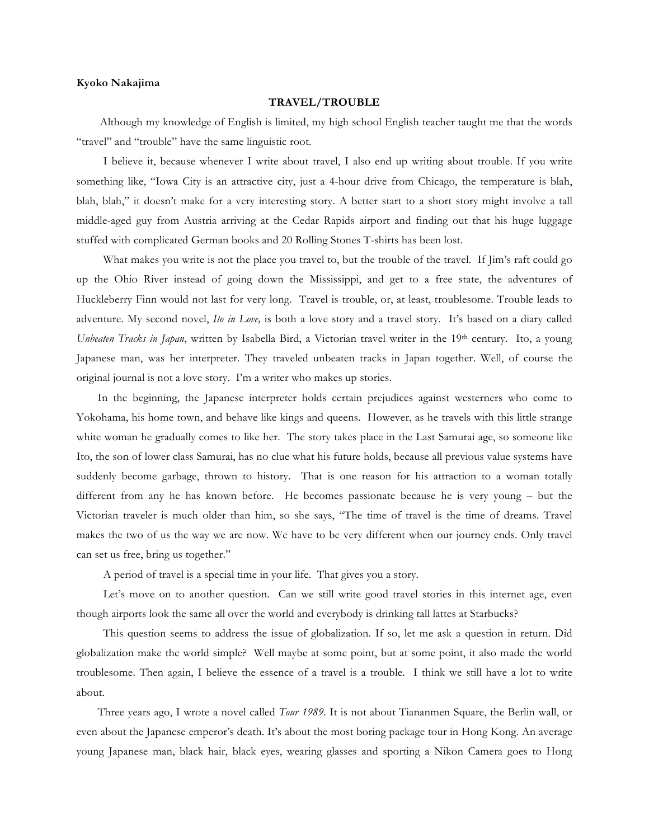## **Kyoko Nakajima**

## **TRAVEL/TROUBLE**

 Although my knowledge of English is limited, my high school English teacher taught me that the words "travel" and "trouble" have the same linguistic root.

I believe it, because whenever I write about travel, I also end up writing about trouble. If you write something like, "Iowa City is an attractive city, just a 4-hour drive from Chicago, the temperature is blah, blah, blah," it doesn't make for a very interesting story. A better start to a short story might involve a tall middle-aged guy from Austria arriving at the Cedar Rapids airport and finding out that his huge luggage stuffed with complicated German books and 20 Rolling Stones T-shirts has been lost.

What makes you write is not the place you travel to, but the trouble of the travel. If  $\lim$ 's raft could go up the Ohio River instead of going down the Mississippi, and get to a free state, the adventures of Huckleberry Finn would not last for very long. Travel is trouble, or, at least, troublesome. Trouble leads to adventure. My second novel, *Ito in Love,* is both a love story and a travel story. It's based on a diary called *Unbeaten Tracks in Japan*, written by Isabella Bird, a Victorian travel writer in the 19th century. Ito, a young Japanese man, was her interpreter. They traveled unbeaten tracks in Japan together. Well, of course the original journal is not a love story. I'm a writer who makes up stories.

 In the beginning, the Japanese interpreter holds certain prejudices against westerners who come to Yokohama, his home town, and behave like kings and queens. However, as he travels with this little strange white woman he gradually comes to like her. The story takes place in the Last Samurai age, so someone like Ito, the son of lower class Samurai, has no clue what his future holds, because all previous value systems have suddenly become garbage, thrown to history. That is one reason for his attraction to a woman totally different from any he has known before. He becomes passionate because he is very young – but the Victorian traveler is much older than him, so she says, "The time of travel is the time of dreams. Travel makes the two of us the way we are now. We have to be very different when our journey ends. Only travel can set us free, bring us together."

A period of travel is a special time in your life. That gives you a story.

Let's move on to another question. Can we still write good travel stories in this internet age, even though airports look the same all over the world and everybody is drinking tall lattes at Starbucks?

This question seems to address the issue of globalization. If so, let me ask a question in return. Did globalization make the world simple? Well maybe at some point, but at some point, it also made the world troublesome. Then again, I believe the essence of a travel is a trouble. I think we still have a lot to write about.

 Three years ago, I wrote a novel called *Tour 1989*. It is not about Tiananmen Square, the Berlin wall, or even about the Japanese emperor's death. It's about the most boring package tour in Hong Kong. An average young Japanese man, black hair, black eyes, wearing glasses and sporting a Nikon Camera goes to Hong